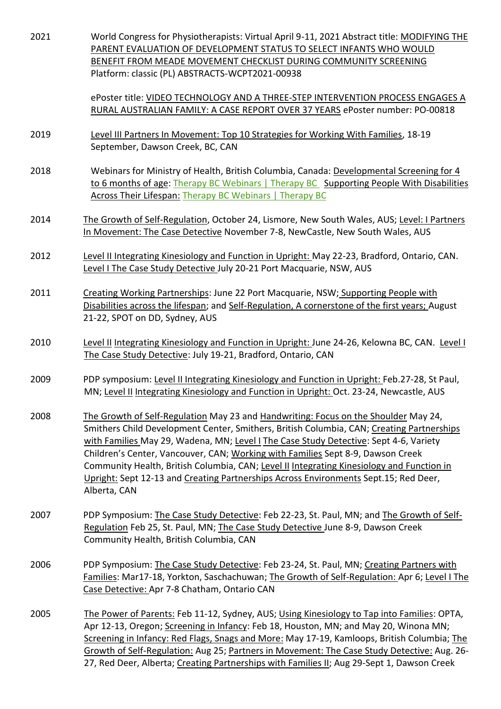| 2021 | World Congress for Physiotherapists: Virtual April 9-11, 2021 Abstract title: MODIFYING THE<br>PARENT EVALUATION OF DEVELOPMENT STATUS TO SELECT INFANTS WHO WOULD<br>BENEFIT FROM MEADE MOVEMENT CHECKLIST DURING COMMUNITY SCREENING<br>Platform: classic (PL) ABSTRACTS-WCPT2021-00938                                                                                                                                                                                                                                                                         |
|------|-------------------------------------------------------------------------------------------------------------------------------------------------------------------------------------------------------------------------------------------------------------------------------------------------------------------------------------------------------------------------------------------------------------------------------------------------------------------------------------------------------------------------------------------------------------------|
|      | ePoster title: VIDEO TECHNOLOGY AND A THREE-STEP INTERVENTION PROCESS ENGAGES A<br>RURAL AUSTRALIAN FAMILY: A CASE REPORT OVER 37 YEARS ePoster number: PO-00818                                                                                                                                                                                                                                                                                                                                                                                                  |
| 2019 | Level III Partners In Movement: Top 10 Strategies for Working With Families, 18-19<br>September, Dawson Creek, BC, CAN                                                                                                                                                                                                                                                                                                                                                                                                                                            |
| 2018 | Webinars for Ministry of Health, British Columbia, Canada: Developmental Screening for 4<br>to 6 months of age: Therapy BC Webinars   Therapy BC Supporting People With Disabilities<br>Across Their Lifespan: Therapy BC Webinars   Therapy BC                                                                                                                                                                                                                                                                                                                   |
| 2014 | The Growth of Self-Regulation, October 24, Lismore, New South Wales, AUS; Level: I Partners<br>In Movement: The Case Detective November 7-8, NewCastle, New South Wales, AUS                                                                                                                                                                                                                                                                                                                                                                                      |
| 2012 | Level II Integrating Kinesiology and Function in Upright: May 22-23, Bradford, Ontario, CAN.<br>Level I The Case Study Detective July 20-21 Port Macquarie, NSW, AUS                                                                                                                                                                                                                                                                                                                                                                                              |
| 2011 | Creating Working Partnerships: June 22 Port Macquarie, NSW; Supporting People with<br>Disabilities across the lifespan; and Self-Regulation, A cornerstone of the first years; August<br>21-22, SPOT on DD, Sydney, AUS                                                                                                                                                                                                                                                                                                                                           |
| 2010 | Level II Integrating Kinesiology and Function in Upright: June 24-26, Kelowna BC, CAN. Level I<br>The Case Study Detective: July 19-21, Bradford, Ontario, CAN                                                                                                                                                                                                                                                                                                                                                                                                    |
| 2009 | PDP symposium: Level II Integrating Kinesiology and Function in Upright: Feb.27-28, St Paul,<br>MN; Level II Integrating Kinesiology and Function in Upright: Oct. 23-24, Newcastle, AUS                                                                                                                                                                                                                                                                                                                                                                          |
| 2008 | The Growth of Self-Regulation May 23 and Handwriting: Focus on the Shoulder May 24,<br>Smithers Child Development Center, Smithers, British Columbia, CAN; Creating Partnerships<br>with Families May 29, Wadena, MN; Level I The Case Study Detective: Sept 4-6, Variety<br>Children's Center, Vancouver, CAN; Working with Families Sept 8-9, Dawson Creek<br>Community Health, British Columbia, CAN; Level II Integrating Kinesiology and Function in<br>Upright: Sept 12-13 and Creating Partnerships Across Environments Sept.15; Red Deer,<br>Alberta, CAN |
| 2007 | PDP Symposium: The Case Study Detective: Feb 22-23, St. Paul, MN; and The Growth of Self-<br>Regulation Feb 25, St. Paul, MN; The Case Study Detective June 8-9, Dawson Creek<br>Community Health, British Columbia, CAN                                                                                                                                                                                                                                                                                                                                          |
| 2006 | PDP Symposium: The Case Study Detective: Feb 23-24, St. Paul, MN; Creating Partners with<br>Families: Mar17-18, Yorkton, Saschachuwan; The Growth of Self-Regulation: Apr 6; Level I The<br>Case Detective: Apr 7-8 Chatham, Ontario CAN                                                                                                                                                                                                                                                                                                                          |
| 2005 | The Power of Parents: Feb 11-12, Sydney, AUS; Using Kinesiology to Tap into Families: OPTA,<br>Apr 12-13, Oregon; Screening in Infancy: Feb 18, Houston, MN; and May 20, Winona MN;<br>Screening in Infancy: Red Flags, Snags and More: May 17-19, Kamloops, British Columbia; The<br>Growth of Self-Regulation: Aug 25; Partners in Movement: The Case Study Detective: Aug. 26-<br>27, Red Deer, Alberta; Creating Partnerships with Families II; Aug 29-Sept 1, Dawson Creek                                                                                   |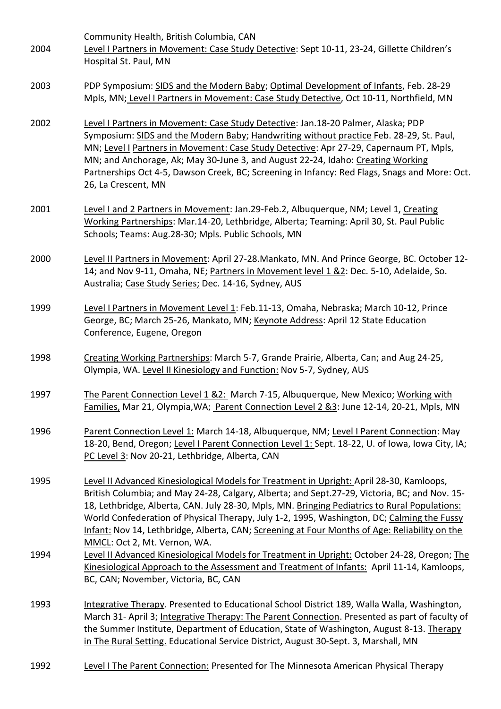Community Health, British Columbia, CAN

- 2004 Level I Partners in Movement: Case Study Detective: Sept 10-11, 23-24, Gillette Children's Hospital St. Paul, MN
- 2003 PDP Symposium: SIDS and the Modern Baby; Optimal Development of Infants, Feb. 28-29 Mpls, MN; Level I Partners in Movement: Case Study Detective, Oct 10-11, Northfield, MN
- 2002 Level I Partners in Movement: Case Study Detective: Jan.18-20 Palmer, Alaska; PDP Symposium: SIDS and the Modern Baby; Handwriting without practice Feb. 28-29, St. Paul, MN; Level I Partners in Movement: Case Study Detective: Apr 27-29, Capernaum PT, Mpls, MN; and Anchorage, Ak; May 30-June 3, and August 22-24, Idaho: Creating Working Partnerships Oct 4-5, Dawson Creek, BC; Screening in Infancy: Red Flags, Snags and More: Oct. 26, La Crescent, MN
- 2001 Level I and 2 Partners in Movement: Jan.29-Feb.2, Albuquerque, NM; Level 1, Creating Working Partnerships: Mar.14-20, Lethbridge, Alberta; Teaming: April 30, St. Paul Public Schools; Teams: Aug.28-30; Mpls. Public Schools, MN
- 2000 Level II Partners in Movement: April 27-28.Mankato, MN. And Prince George, BC. October 12- 14; and Nov 9-11, Omaha, NE; Partners in Movement level 1 &2: Dec. 5-10, Adelaide, So. Australia; Case Study Series; Dec. 14-16, Sydney, AUS
- 1999 Level I Partners in Movement Level 1: Feb.11-13, Omaha, Nebraska; March 10-12, Prince George, BC; March 25-26, Mankato, MN; Keynote Address: April 12 State Education Conference, Eugene, Oregon
- 1998 Creating Working Partnerships: March 5-7, Grande Prairie, Alberta, Can; and Aug 24-25, Olympia, WA. Level II Kinesiology and Function: Nov 5-7, Sydney, AUS
- 1997 The Parent Connection Level 1 &2: March 7-15, Albuquerque, New Mexico; Working with Families, Mar 21, Olympia,WA; Parent Connection Level 2 &3: June 12-14, 20-21, Mpls, MN
- 1996 Parent Connection Level 1: March 14-18, Albuquerque, NM; Level I Parent Connection: May 18-20, Bend, Oregon; Level I Parent Connection Level 1: Sept. 18-22, U. of Iowa, Iowa City, IA; PC Level 3: Nov 20-21, Lethbridge, Alberta, CAN
- 1995 Level II Advanced Kinesiological Models for Treatment in Upright: April 28-30, Kamloops, British Columbia; and May 24-28, Calgary, Alberta; and Sept.27-29, Victoria, BC; and Nov. 15- 18, Lethbridge, Alberta, CAN. July 28-30, Mpls, MN. Bringing Pediatrics to Rural Populations: World Confederation of Physical Therapy, July 1-2, 1995, Washington, DC; Calming the Fussy Infant: Nov 14, Lethbridge, Alberta, CAN; Screening at Four Months of Age: Reliability on the MMCL: Oct 2, Mt. Vernon, WA.
- 1994 Level II Advanced Kinesiological Models for Treatment in Upright: October 24-28, Oregon; The Kinesiological Approach to the Assessment and Treatment of Infants: April 11-14, Kamloops, BC, CAN; November, Victoria, BC, CAN
- 1993 Integrative Therapy. Presented to Educational School District 189, Walla Walla, Washington, March 31- April 3; Integrative Therapy: The Parent Connection. Presented as part of faculty of the Summer Institute, Department of Education, State of Washington, August 8-13. Therapy in The Rural Setting. Educational Service District, August 30-Sept. 3, Marshall, MN
- 1992 Level I The Parent Connection: Presented for The Minnesota American Physical Therapy